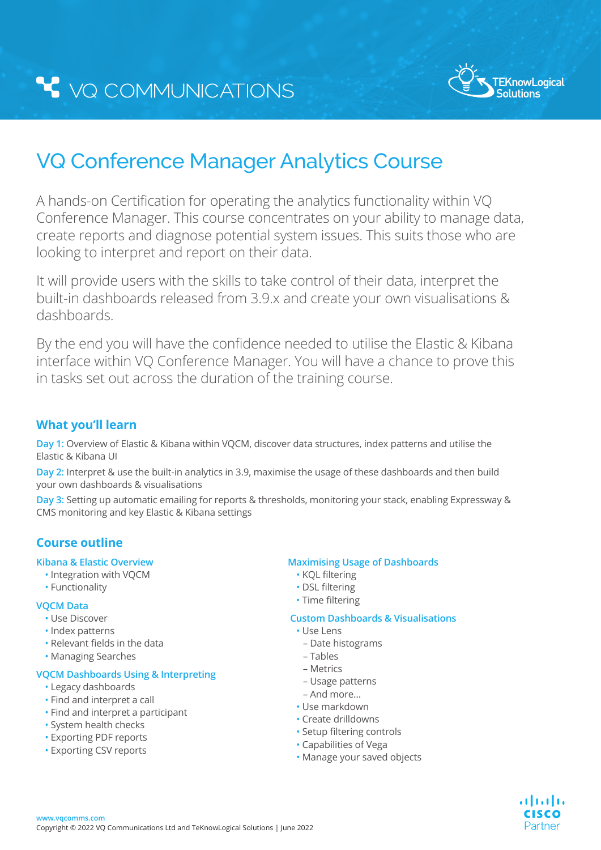

. 1 | 1 . 1 | 1 . CISCO Partner

# VQ Conference Manager Analytics Course

A hands-on Certification for operating the analytics functionality within VQ Conference Manager. This course concentrates on your ability to manage data, create reports and diagnose potential system issues. This suits those who are looking to interpret and report on their data.

It will provide users with the skills to take control of their data, interpret the built-in dashboards released from 3.9.x and create your own visualisations & dashboards.

By the end you will have the confidence needed to utilise the Elastic & Kibana interface within VQ Conference Manager. You will have a chance to prove this in tasks set out across the duration of the training course.

# **What you'll learn**

**Day 1:** Overview of Elastic & Kibana within VQCM, discover data structures, index patterns and utilise the Elastic & Kibana UI

**Day 2:** Interpret & use the built-in analytics in 3.9, maximise the usage of these dashboards and then build your own dashboards & visualisations

**Day 3:** Setting up automatic emailing for reports & thresholds, monitoring your stack, enabling Expressway & CMS monitoring and key Elastic & Kibana settings

# **Course outline**

#### **Kibana & Elastic Overview**

- Integration with VQCM
- Functionality

#### **VQCM Data**

- Use Discover
- Index patterns
- Relevant fields in the data
- Managing Searches

### **VQCM Dashboards Using & Interpreting**

- Legacy dashboards
- Find and interpret a call
- Find and interpret a participant
- System health checks
- Exporting PDF reports
- Exporting CSV reports

#### **Maximising Usage of Dashboards**

- KQL filtering
- DSL filtering
- Time filtering

#### **Custom Dashboards & Visualisations**

- Use Lens
	- Date histograms
	- Tables
	- Metrics
	- Usage patterns
	- And more…
- Use markdown
- Create drilldowns
- Setup filtering controls
- Capabilities of Vega
- Manage your saved objects